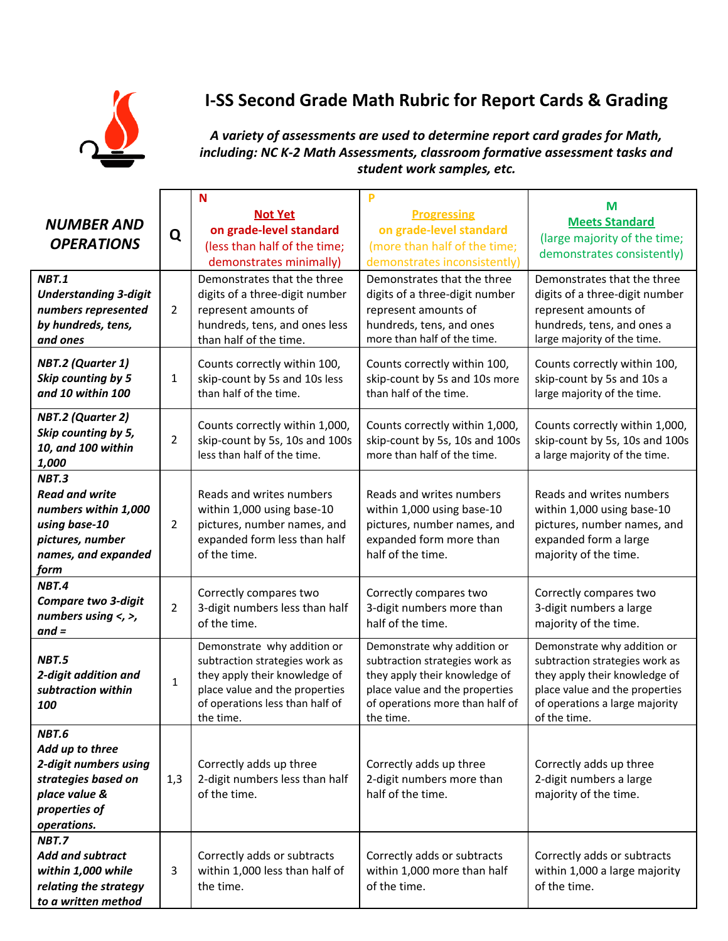

## **I-SS Second Grade Math Rubric for Report Cards & Grading**

*A variety of assessments are used to determine report card grades for Math, including: NC K-2 Math Assessments, classroom formative assessment tasks and student work samples, etc.*

| <b>NUMBER AND</b><br><b>OPERATIONS</b>                                                                                     | Q              | N<br><b>Not Yet</b><br>on grade-level standard<br>(less than half of the time;<br>demonstrates minimally)                                                                        | P<br><b>Progressing</b><br>on grade-level standard<br>(more than half of the time;<br>demonstrates inconsistently)                                                               | M<br><b>Meets Standard</b><br>(large majority of the time;<br>demonstrates consistently)                                                                                           |
|----------------------------------------------------------------------------------------------------------------------------|----------------|----------------------------------------------------------------------------------------------------------------------------------------------------------------------------------|----------------------------------------------------------------------------------------------------------------------------------------------------------------------------------|------------------------------------------------------------------------------------------------------------------------------------------------------------------------------------|
| <b>NBT.1</b><br><b>Understanding 3-digit</b><br>numbers represented<br>by hundreds, tens,<br>and ones                      | $\overline{2}$ | Demonstrates that the three<br>digits of a three-digit number<br>represent amounts of<br>hundreds, tens, and ones less<br>than half of the time.                                 | Demonstrates that the three<br>digits of a three-digit number<br>represent amounts of<br>hundreds, tens, and ones<br>more than half of the time.                                 | Demonstrates that the three<br>digits of a three-digit number<br>represent amounts of<br>hundreds, tens, and ones a<br>large majority of the time.                                 |
| <b>NBT.2 (Quarter 1)</b><br>Skip counting by 5<br>and 10 within 100                                                        | 1              | Counts correctly within 100,<br>skip-count by 5s and 10s less<br>than half of the time.                                                                                          | Counts correctly within 100,<br>skip-count by 5s and 10s more<br>than half of the time.                                                                                          | Counts correctly within 100,<br>skip-count by 5s and 10s a<br>large majority of the time.                                                                                          |
| NBT.2 (Quarter 2)<br>Skip counting by 5,<br>10, and 100 within<br>1,000                                                    | $\overline{2}$ | Counts correctly within 1,000,<br>skip-count by 5s, 10s and 100s<br>less than half of the time.                                                                                  | Counts correctly within 1,000,<br>skip-count by 5s, 10s and 100s<br>more than half of the time.                                                                                  | Counts correctly within 1,000,<br>skip-count by 5s, 10s and 100s<br>a large majority of the time.                                                                                  |
| NBT.3<br><b>Read and write</b><br>numbers within 1,000<br>using base-10<br>pictures, number<br>names, and expanded<br>form | $\overline{2}$ | Reads and writes numbers<br>within 1,000 using base-10<br>pictures, number names, and<br>expanded form less than half<br>of the time.                                            | Reads and writes numbers<br>within 1,000 using base-10<br>pictures, number names, and<br>expanded form more than<br>half of the time.                                            | Reads and writes numbers<br>within 1,000 using base-10<br>pictures, number names, and<br>expanded form a large<br>majority of the time.                                            |
| <b>NBT.4</b><br><b>Compare two 3-digit</b><br>numbers using $\lt$ , $\gt$ ,<br>$and =$                                     | $\overline{2}$ | Correctly compares two<br>3-digit numbers less than half<br>of the time.                                                                                                         | Correctly compares two<br>3-digit numbers more than<br>half of the time.                                                                                                         | Correctly compares two<br>3-digit numbers a large<br>majority of the time.                                                                                                         |
| <b>NBT.5</b><br>2-digit addition and<br>subtraction within<br>100                                                          | $\mathbf{1}$   | Demonstrate why addition or<br>subtraction strategies work as<br>they apply their knowledge of<br>place value and the properties<br>of operations less than half of<br>the time. | Demonstrate why addition or<br>subtraction strategies work as<br>they apply their knowledge of<br>place value and the properties<br>of operations more than half of<br>the time. | Demonstrate why addition or<br>subtraction strategies work as<br>they apply their knowledge of<br>place value and the properties<br>of operations a large majority<br>of the time. |
| NBT.6<br>Add up to three<br>2-digit numbers using<br>strategies based on<br>place value &<br>properties of<br>operations.  | 1,3            | Correctly adds up three<br>2-digit numbers less than half<br>of the time.                                                                                                        | Correctly adds up three<br>2-digit numbers more than<br>half of the time.                                                                                                        | Correctly adds up three<br>2-digit numbers a large<br>majority of the time.                                                                                                        |
| <b>NBT.7</b><br>Add and subtract<br>within 1,000 while<br>relating the strategy<br>to a written method                     | 3              | Correctly adds or subtracts<br>within 1,000 less than half of<br>the time.                                                                                                       | Correctly adds or subtracts<br>within 1,000 more than half<br>of the time.                                                                                                       | Correctly adds or subtracts<br>within 1,000 a large majority<br>of the time.                                                                                                       |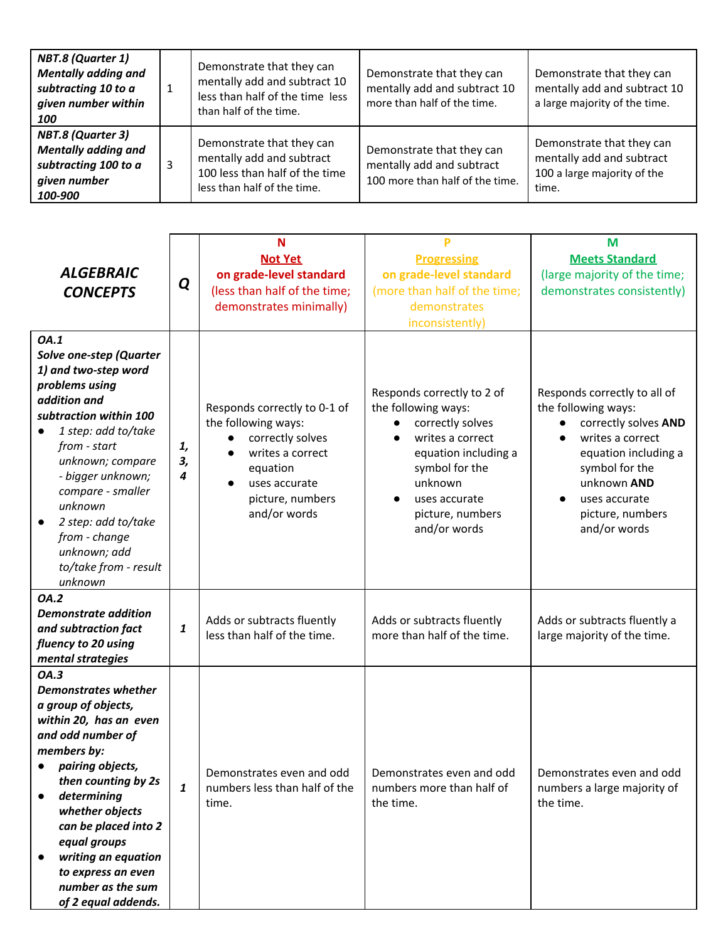| NBT.8 (Quarter 1)<br><b>Mentally adding and</b><br>subtracting 10 to a<br>given number within<br>100      |   | Demonstrate that they can<br>mentally add and subtract 10<br>less than half of the time less<br>than half of the time.  | Demonstrate that they can<br>mentally add and subtract 10<br>more than half of the time.  | Demonstrate that they can<br>mentally add and subtract 10<br>a large majority of the time.     |
|-----------------------------------------------------------------------------------------------------------|---|-------------------------------------------------------------------------------------------------------------------------|-------------------------------------------------------------------------------------------|------------------------------------------------------------------------------------------------|
| <b>NBT.8 (Quarter 3)</b><br><b>Mentally adding and</b><br>subtracting 100 to a<br>given number<br>100-900 | 3 | Demonstrate that they can<br>mentally add and subtract<br>100 less than half of the time<br>less than half of the time. | Demonstrate that they can<br>mentally add and subtract<br>100 more than half of the time. | Demonstrate that they can<br>mentally add and subtract<br>100 a large majority of the<br>time. |

| <b>ALGEBRAIC</b><br><b>CONCEPTS</b>                                                                                                                                                                                                                                                                                                                 | Q             | N<br><b>Not Yet</b><br>on grade-level standard<br>(less than half of the time;<br>demonstrates minimally)                                                                 | Þ<br><b>Progressing</b><br>on grade-level standard<br>(more than half of the time;<br>demonstrates<br>inconsistently)                                                                               | M<br><b>Meets Standard</b><br>(large majority of the time;<br>demonstrates consistently)                                                                                                                      |
|-----------------------------------------------------------------------------------------------------------------------------------------------------------------------------------------------------------------------------------------------------------------------------------------------------------------------------------------------------|---------------|---------------------------------------------------------------------------------------------------------------------------------------------------------------------------|-----------------------------------------------------------------------------------------------------------------------------------------------------------------------------------------------------|---------------------------------------------------------------------------------------------------------------------------------------------------------------------------------------------------------------|
| OA.1<br><b>Solve one-step (Quarter</b><br>1) and two-step word<br>problems using<br>addition and<br>subtraction within 100<br>1 step: add to/take<br>from - start<br>unknown; compare<br>- bigger unknown;<br>compare - smaller<br>unknown<br>2 step: add to/take<br>from - change<br>unknown; add<br>to/take from - result<br>unknown              | 1,<br>З,<br>4 | Responds correctly to 0-1 of<br>the following ways:<br>correctly solves<br>$\bullet$<br>writes a correct<br>equation<br>uses accurate<br>picture, numbers<br>and/or words | Responds correctly to 2 of<br>the following ways:<br>correctly solves<br>writes a correct<br>equation including a<br>symbol for the<br>unknown<br>uses accurate<br>picture, numbers<br>and/or words | Responds correctly to all of<br>the following ways:<br>correctly solves AND<br>writes a correct<br>equation including a<br>symbol for the<br>unknown AND<br>uses accurate<br>picture, numbers<br>and/or words |
| <b>OA.2</b><br><b>Demonstrate addition</b><br>and subtraction fact<br>fluency to 20 using<br>mental strategies                                                                                                                                                                                                                                      | 1             | Adds or subtracts fluently<br>less than half of the time.                                                                                                                 | Adds or subtracts fluently<br>more than half of the time.                                                                                                                                           | Adds or subtracts fluently a<br>large majority of the time.                                                                                                                                                   |
| OA.3<br><b>Demonstrates whether</b><br>a group of objects,<br>within 20, has an even<br>and odd number of<br>members by:<br>pairing objects,<br>then counting by 2s<br>determining<br>$\bullet$<br>whether objects<br>can be placed into 2<br>equal groups<br>writing an equation<br>to express an even<br>number as the sum<br>of 2 equal addends. | 1             | Demonstrates even and odd<br>numbers less than half of the<br>time.                                                                                                       | Demonstrates even and odd<br>numbers more than half of<br>the time.                                                                                                                                 | Demonstrates even and odd<br>numbers a large majority of<br>the time.                                                                                                                                         |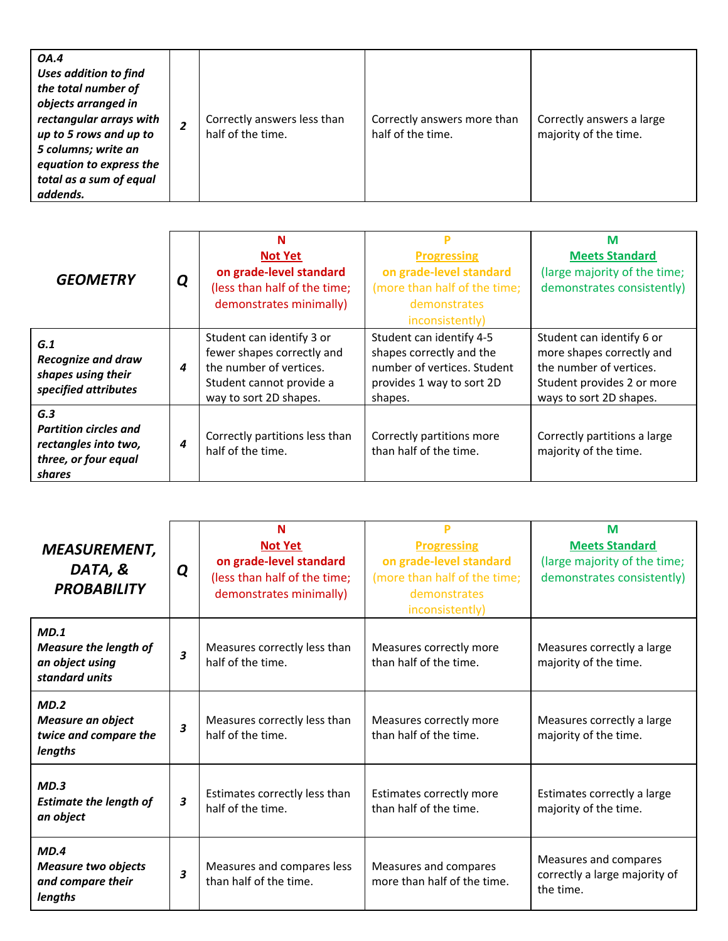| <b>GEOMETRY</b>              | Q | N                              |                              | M                            |
|------------------------------|---|--------------------------------|------------------------------|------------------------------|
|                              |   | <b>Not Yet</b>                 | <b>Progressing</b>           | <b>Meets Standard</b>        |
|                              |   | on grade-level standard        | on grade-level standard      | (large majority of the time; |
|                              |   | (less than half of the time;   | (more than half of the time; | demonstrates consistently)   |
|                              |   | demonstrates minimally)        | demonstrates                 |                              |
|                              |   |                                | inconsistently)              |                              |
| G.1                          |   | Student can identify 3 or      | Student can identify 4-5     | Student can identify 6 or    |
| <b>Recognize and draw</b>    | 4 | fewer shapes correctly and     | shapes correctly and the     | more shapes correctly and    |
| shapes using their           |   | the number of vertices.        | number of vertices. Student  | the number of vertices.      |
| specified attributes         |   | Student cannot provide a       | provides 1 way to sort 2D    | Student provides 2 or more   |
|                              |   | way to sort 2D shapes.         | shapes.                      | ways to sort 2D shapes.      |
| G.3                          |   |                                |                              |                              |
| <b>Partition circles and</b> |   | Correctly partitions less than | Correctly partitions more    | Correctly partitions a large |
| rectangles into two,         | 4 | half of the time.              | than half of the time.       | majority of the time.        |
| three, or four equal         |   |                                |                              |                              |
| shares                       |   |                                |                              |                              |

| <b>MEASUREMENT,</b><br>DATA, &<br><b>PROBABILITY</b>                      | Q | N<br><b>Not Yet</b><br>on grade-level standard<br>(less than half of the time;<br>demonstrates minimally) | <b>Progressing</b><br>on grade-level standard<br>(more than half of the time;<br>demonstrates<br>inconsistently) | M<br><b>Meets Standard</b><br>(large majority of the time;<br>demonstrates consistently) |
|---------------------------------------------------------------------------|---|-----------------------------------------------------------------------------------------------------------|------------------------------------------------------------------------------------------------------------------|------------------------------------------------------------------------------------------|
| MD.1<br><b>Measure the length of</b><br>an object using<br>standard units | 3 | Measures correctly less than<br>half of the time.                                                         | Measures correctly more<br>than half of the time.                                                                | Measures correctly a large<br>majority of the time.                                      |
| MD.2<br><b>Measure an object</b><br>twice and compare the<br>lengths      | 3 | Measures correctly less than<br>half of the time.                                                         | Measures correctly more<br>than half of the time.                                                                | Measures correctly a large<br>majority of the time.                                      |
| MD.3<br><b>Estimate the length of</b><br>an object                        | 3 | Estimates correctly less than<br>half of the time.                                                        | Estimates correctly more<br>than half of the time.                                                               | Estimates correctly a large<br>majority of the time.                                     |
| MD.4<br><b>Measure two objects</b><br>and compare their<br>lengths        | 3 | Measures and compares less<br>than half of the time.                                                      | Measures and compares<br>more than half of the time.                                                             | Measures and compares<br>correctly a large majority of<br>the time.                      |